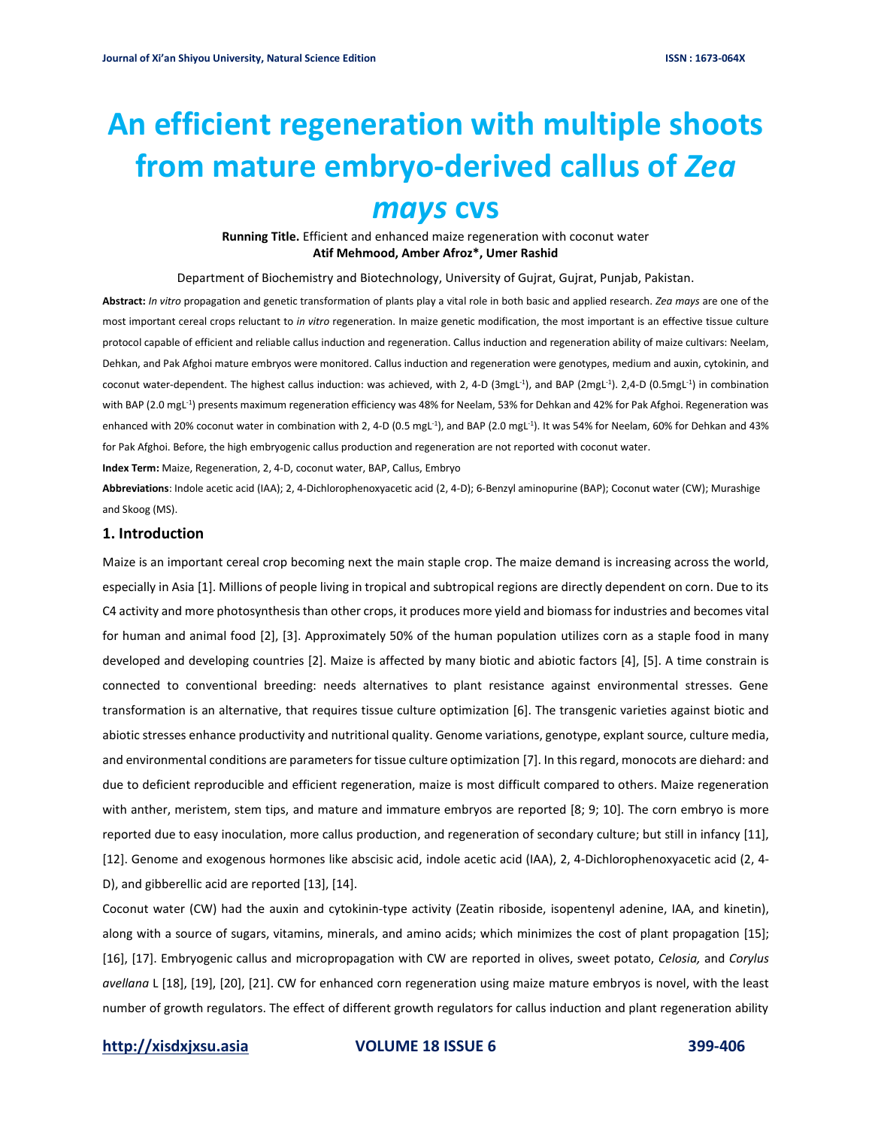# **An efficient regeneration with multiple shoots from mature embryo-derived callus of** *Zea mays* **cvs**

**Running Title.** Efficient and enhanced maize regeneration with coconut water **Atif Mehmood, Amber Afroz\*, Umer Rashid**

Department of Biochemistry and Biotechnology, University of Gujrat, Gujrat, Punjab, Pakistan.

**Abstract:** *In vitro* propagation and genetic transformation of plants play a vital role in both basic and applied research. *Zea mays* are one of the most important cereal crops reluctant to *in vitro* regeneration. In maize genetic modification, the most important is an effective tissue culture protocol capable of efficient and reliable callus induction and regeneration. Callus induction and regeneration ability of maize cultivars: Neelam, Dehkan, and Pak Afghoi mature embryos were monitored. Callus induction and regeneration were genotypes, medium and auxin, cytokinin, and coconut water-dependent. The highest callus induction: was achieved, with 2, 4-D (3mgL<sup>-1</sup>), and BAP (2mgL<sup>-1</sup>). 2,4-D (0.5mgL<sup>-1</sup>) in combination with BAP (2.0 mgL-1 ) presents maximum regeneration efficiency was 48% for Neelam, 53% for Dehkan and 42% for Pak Afghoi. Regeneration was enhanced with 20% coconut water in combination with 2, 4-D (0.5 mgL<sup>-1</sup>), and BAP (2.0 mgL<sup>-1</sup>). It was 54% for Neelam, 60% for Dehkan and 43% for Pak Afghoi. Before, the high embryogenic callus production and regeneration are not reported with coconut water.

**Index Term:** Maize, Regeneration, 2, 4-D, coconut water, BAP, Callus, Embryo

**Abbreviations**: Indole acetic acid (IAA); 2, 4-Dichlorophenoxyacetic acid (2, 4-D); 6-Benzyl aminopurine (BAP); Coconut water (CW); Murashige and Skoog (MS).

### **1. Introduction**

Maize is an important cereal crop becoming next the main staple crop. The maize demand is increasing across the world, especially in Asia [1]. Millions of people living in tropical and subtropical regions are directly dependent on corn. Due to its C4 activity and more photosynthesis than other crops, it produces more yield and biomass for industries and becomes vital for human and animal food [2], [3]. Approximately 50% of the human population utilizes corn as a staple food in many developed and developing countries [2]. Maize is affected by many biotic and abiotic factors [4], [5]. A time constrain is connected to conventional breeding: needs alternatives to plant resistance against environmental stresses. Gene transformation is an alternative, that requires tissue culture optimization [6]. The transgenic varieties against biotic and abiotic stresses enhance productivity and nutritional quality. Genome variations, genotype, explant source, culture media, and environmental conditions are parameters for tissue culture optimization [7]. In this regard, monocots are diehard: and due to deficient reproducible and efficient regeneration, maize is most difficult compared to others. Maize regeneration with anther, meristem, stem tips, and mature and immature embryos are reported [8; 9; 10]. The corn embryo is more reported due to easy inoculation, more callus production, and regeneration of secondary culture; but still in infancy [11], [12]. Genome and exogenous hormones like abscisic acid, indole acetic acid (IAA), 2, 4-Dichlorophenoxyacetic acid (2, 4- D), and gibberellic acid are reported [13], [14].

Coconut water (CW) had the auxin and cytokinin-type activity (Zeatin riboside, isopentenyl adenine, IAA, and kinetin), along with a source of sugars, vitamins, minerals, and amino acids; which minimizes the cost of plant propagation [15]; [16], [17]. Embryogenic callus and micropropagation with CW are reported in olives, sweet potato, *Celosia,* and *Corylus avellana* L [18], [19], [20], [21]. CW for enhanced corn regeneration using maize mature embryos is novel, with the least number of growth regulators. The effect of different growth regulators for callus induction and plant regeneration ability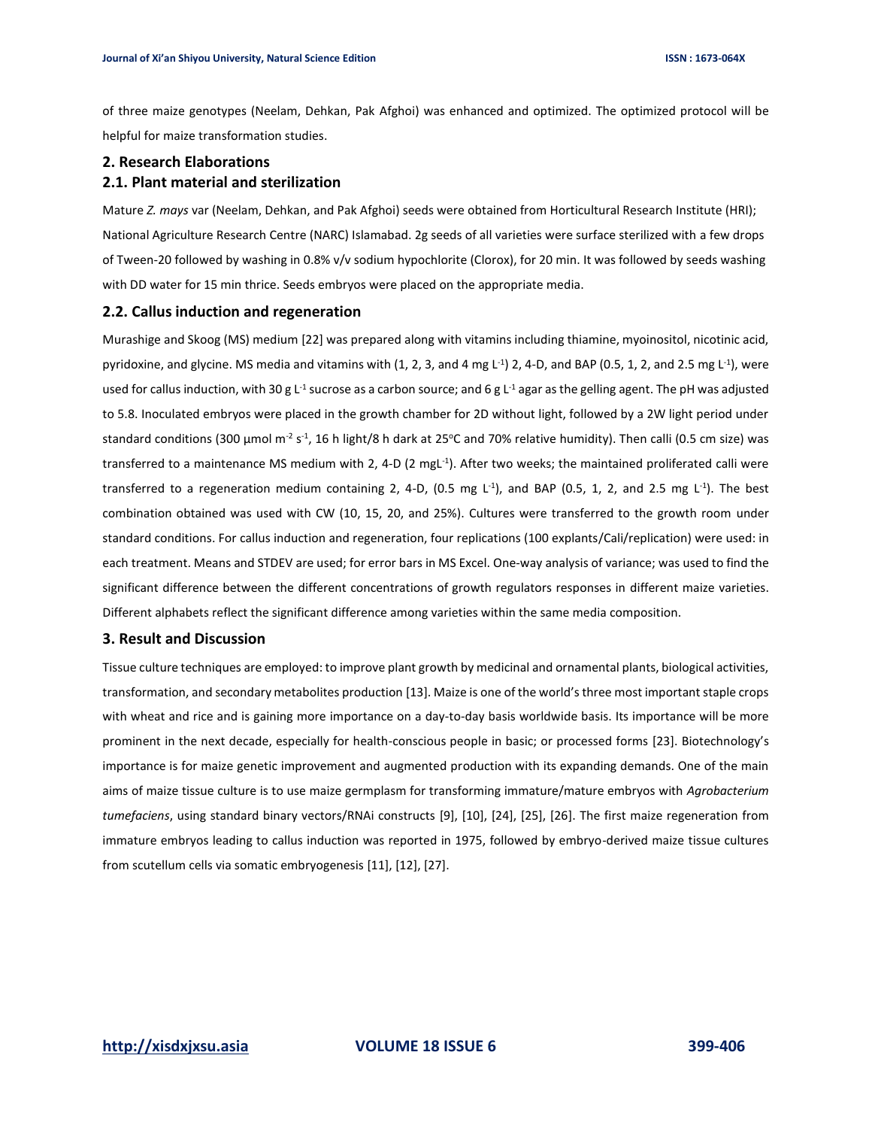of three maize genotypes (Neelam, Dehkan, Pak Afghoi) was enhanced and optimized. The optimized protocol will be helpful for maize transformation studies.

# **2. Research Elaborations**

# **2.1. Plant material and sterilization**

Mature *Z. mays* var (Neelam, Dehkan, and Pak Afghoi) seeds were obtained from Horticultural Research Institute (HRI); National Agriculture Research Centre (NARC) Islamabad. 2g seeds of all varieties were surface sterilized with a few drops of Tween-20 followed by washing in 0.8% v/v sodium hypochlorite (Clorox), for 20 min. It was followed by seeds washing with DD water for 15 min thrice. Seeds embryos were placed on the appropriate media.

# **2.2. Callus induction and regeneration**

Murashige and Skoog (MS) medium [22] was prepared along with vitamins including thiamine, myoinositol, nicotinic acid, pyridoxine, and glycine. MS media and vitamins with (1, 2, 3, and 4 mg L<sup>-1</sup>) 2, 4-D, and BAP (0.5, 1, 2, and 2.5 mg L<sup>-1</sup>), were used for callus induction, with 30 g L<sup>-1</sup> sucrose as a carbon source; and 6 g L<sup>-1</sup> agar as the gelling agent. The pH was adjusted to 5.8. Inoculated embryos were placed in the growth chamber for 2D without light, followed by a 2W light period under standard conditions (300  $\mu$ mol m<sup>-2</sup> s<sup>-1</sup>, 16 h light/8 h dark at 25°C and 70% relative humidity). Then calli (0.5 cm size) was transferred to a maintenance MS medium with 2, 4-D (2 mgL-1 ). After two weeks; the maintained proliferated calli were transferred to a regeneration medium containing 2, 4-D, (0.5 mg L<sup>-1</sup>), and BAP (0.5, 1, 2, and 2.5 mg L<sup>-1</sup>). The best combination obtained was used with CW (10, 15, 20, and 25%). Cultures were transferred to the growth room under standard conditions. For callus induction and regeneration, four replications (100 explants/Cali/replication) were used: in each treatment. Means and STDEV are used; for error bars in MS Excel. One-way analysis of variance; was used to find the significant difference between the different concentrations of growth regulators responses in different maize varieties. Different alphabets reflect the significant difference among varieties within the same media composition.

# **3. Result and Discussion**

Tissue culture techniques are employed: to improve plant growth by medicinal and ornamental plants, biological activities, transformation, and secondary metabolites production [13]. Maize is one of the world's three most important staple crops with wheat and rice and is gaining more importance on a day-to-day basis worldwide basis. Its importance will be more prominent in the next decade, especially for health-conscious people in basic; or processed forms [23]. Biotechnology's importance is for maize genetic improvement and augmented production with its expanding demands. One of the main aims of maize tissue culture is to use maize germplasm for transforming immature/mature embryos with *Agrobacterium tumefaciens*, using standard binary vectors/RNAi constructs [9], [10], [24], [25], [26]. The first maize regeneration from immature embryos leading to callus induction was reported in 1975, followed by embryo-derived maize tissue cultures from scutellum cells via somatic embryogenesis [11], [12], [27].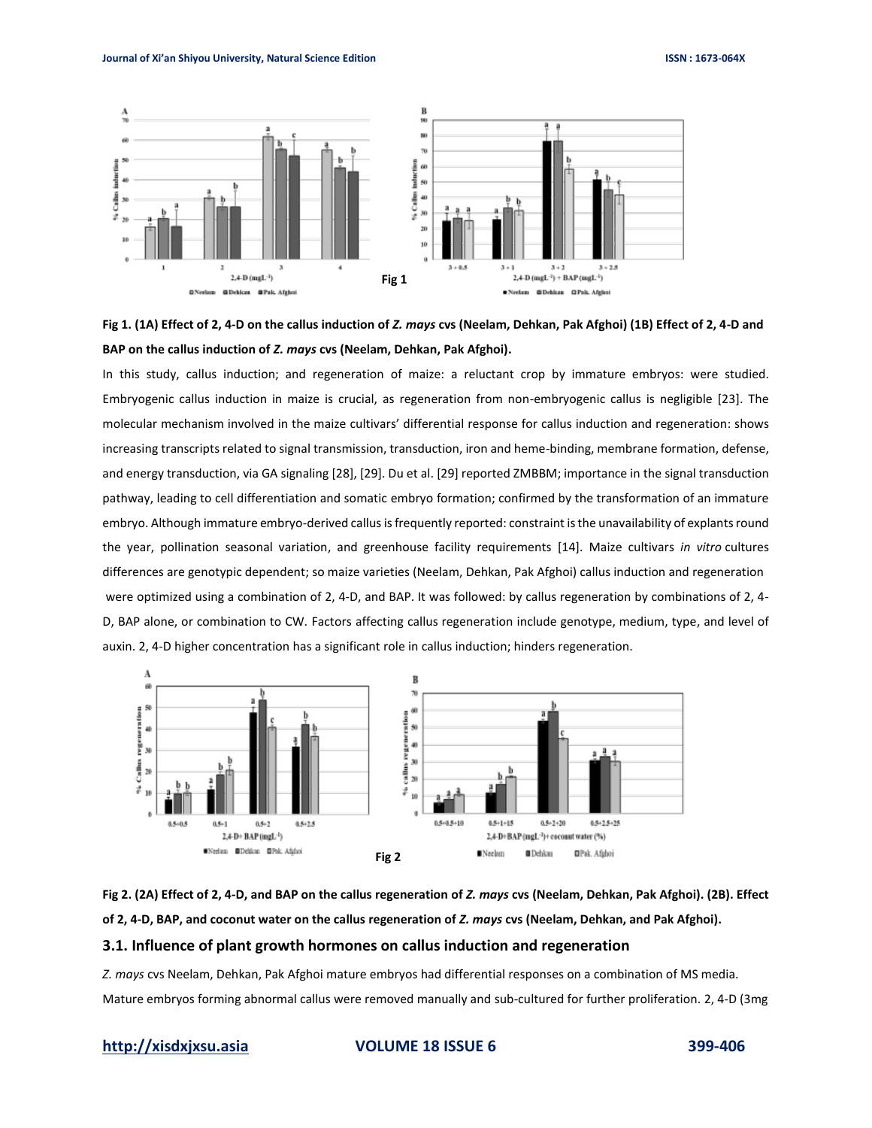



In this study, callus induction; and regeneration of maize: a reluctant crop by immature embryos: were studied. Embryogenic callus induction in maize is crucial, as regeneration from non-embryogenic callus is negligible [23]. The molecular mechanism involved in the maize cultivars' differential response for callus induction and regeneration: shows increasing transcripts related to signal transmission, transduction, iron and heme-binding, membrane formation, defense, and energy transduction, via GA signaling [28], [29]. Du et al. [29] reported ZMBBM; importance in the signal transduction pathway, leading to cell differentiation and somatic embryo formation; confirmed by the transformation of an immature embryo. Although immature embryo-derived callusis frequently reported: constraint is the unavailability of explants round the year, pollination seasonal variation, and greenhouse facility requirements [14]. Maize cultivars *in vitro* cultures differences are genotypic dependent; so maize varieties (Neelam, Dehkan, Pak Afghoi) callus induction and regeneration were optimized using a combination of 2, 4-D, and BAP. It was followed: by callus regeneration by combinations of 2, 4- D, BAP alone, or combination to CW. Factors affecting callus regeneration include genotype, medium, type, and level of auxin. 2, 4-D higher concentration has a significant role in callus induction; hinders regeneration.





*Z. mays* cvs Neelam, Dehkan, Pak Afghoi mature embryos had differential responses on a combination of MS media. Mature embryos forming abnormal callus were removed manually and sub-cultured for further proliferation. 2, 4-D (3mg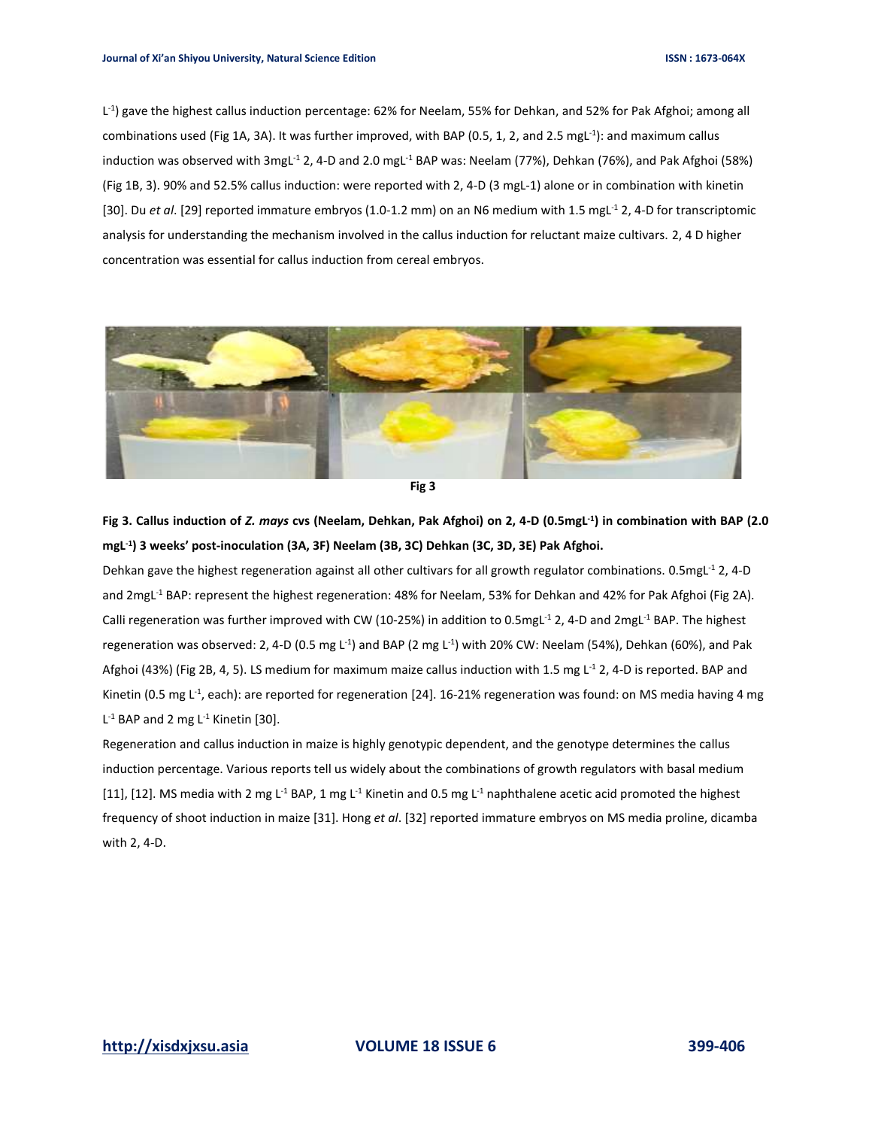L<sup>-1</sup>) gave the highest callus induction percentage: 62% for Neelam, 55% for Dehkan, and 52% for Pak Afghoi; among all combinations used (Fig 1A, 3A). It was further improved, with BAP (0.5, 1, 2, and 2.5 mgL<sup>-1</sup>): and maximum callus induction was observed with 3mgL<sup>-1</sup> 2, 4-D and 2.0 mgL<sup>-1</sup> BAP was: Neelam (77%), Dehkan (76%), and Pak Afghoi (58%) (Fig 1B, 3). 90% and 52.5% callus induction: were reported with 2, 4-D (3 mgL-1) alone or in combination with kinetin [30]. Du *et al.* [29] reported immature embryos (1.0-1.2 mm) on an N6 medium with 1.5 mgL<sup>-1</sup> 2, 4-D for transcriptomic analysis for understanding the mechanism involved in the callus induction for reluctant maize cultivars. 2, 4 D higher concentration was essential for callus induction from cereal embryos.



**Fig 3**

**Fig 3. Callus induction of** *Z. mays* **cvs (Neelam, Dehkan, Pak Afghoi) on 2, 4-D (0.5mgL-1 ) in combination with BAP (2.0 mgL-1 ) 3 weeks' post-inoculation (3A, 3F) Neelam (3B, 3C) Dehkan (3C, 3D, 3E) Pak Afghoi.**

Dehkan gave the highest regeneration against all other cultivars for all growth regulator combinations. 0.5mgL<sup>-1</sup> 2, 4-D and 2mgL-1 BAP: represent the highest regeneration: 48% for Neelam, 53% for Dehkan and 42% for Pak Afghoi (Fig 2A). Calli regeneration was further improved with CW (10-25%) in addition to 0.5mgL<sup>-1</sup> 2, 4-D and 2mgL<sup>-1</sup> BAP. The highest regeneration was observed: 2, 4-D (0.5 mg L<sup>-1</sup>) and BAP (2 mg L<sup>-1</sup>) with 20% CW: Neelam (54%), Dehkan (60%), and Pak Afghoi (43%) (Fig 2B, 4, 5). LS medium for maximum maize callus induction with 1.5 mg  $L<sup>-1</sup>$  2, 4-D is reported. BAP and Kinetin (0.5 mg L<sup>-1</sup>, each): are reported for regeneration [24]. 16-21% regeneration was found: on MS media having 4 mg  $L<sup>-1</sup>$  BAP and 2 mg  $L<sup>-1</sup>$  Kinetin [30].

Regeneration and callus induction in maize is highly genotypic dependent, and the genotype determines the callus induction percentage. Various reports tell us widely about the combinations of growth regulators with basal medium [11], [12]. MS media with 2 mg L<sup>-1</sup> BAP, 1 mg L<sup>-1</sup> Kinetin and 0.5 mg L<sup>-1</sup> naphthalene acetic acid promoted the highest frequency of shoot induction in maize [31]. Hong *et al*. [32] reported immature embryos on MS media proline, dicamba with 2, 4-D.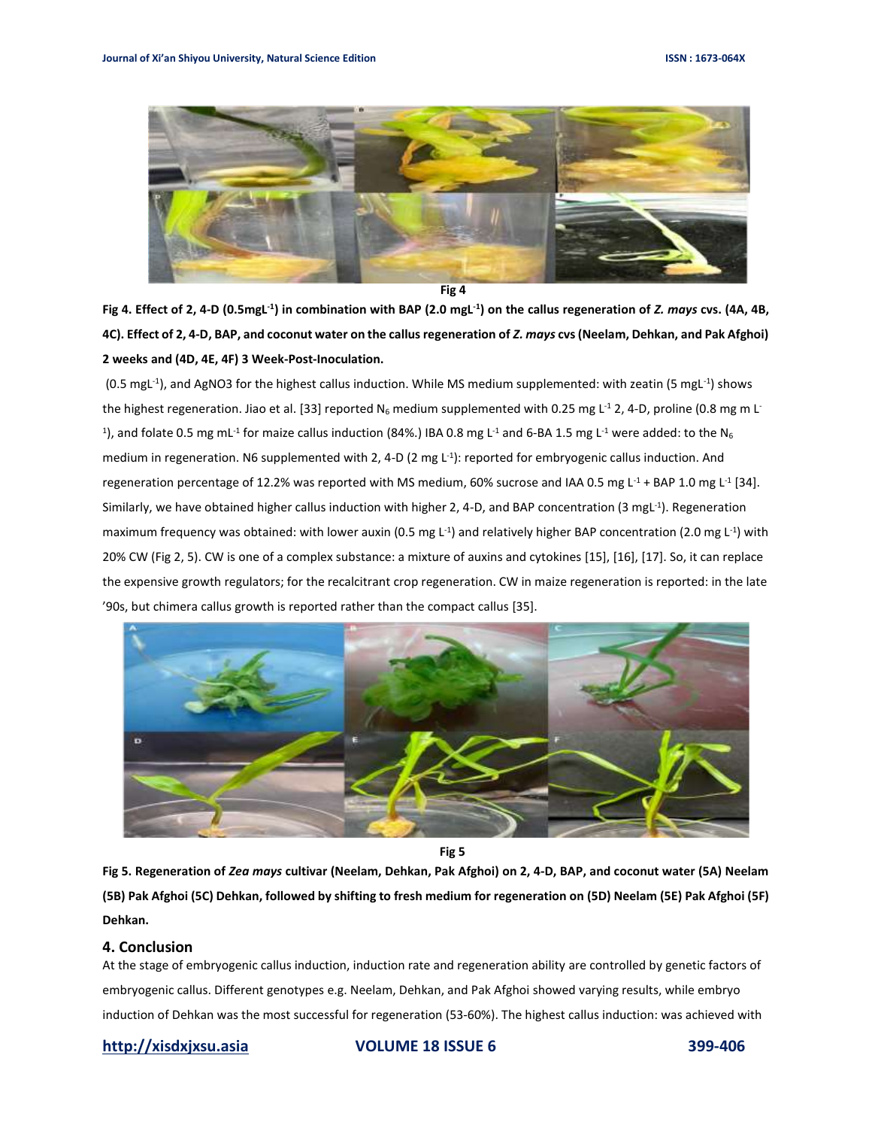

**Fig 4. Effect of 2, 4-D (0.5mgL-1 ) in combination with BAP (2.0 mgL-1 ) on the callus regeneration of** *Z. mays* **cvs. (4A, 4B, 4C). Effect of 2, 4-D, BAP, and coconut water on the callus regeneration of** *Z. mays* **cvs (Neelam, Dehkan, and Pak Afghoi) 2 weeks and (4D, 4E, 4F) 3 Week-Post-Inoculation.**

(0.5 mgL<sup>-1</sup>), and AgNO3 for the highest callus induction. While MS medium supplemented: with zeatin (5 mgL<sup>-1</sup>) shows the highest regeneration. Jiao et al. [33] reported N<sub>6</sub> medium supplemented with 0.25 mg L<sup>-1</sup> 2, 4-D, proline (0.8 mg m L<sup>-</sup>  $^1$ ), and folate 0.5 mg mL $^1$  for maize callus induction (84%.) IBA 0.8 mg L $^1$  and 6-BA 1.5 mg L $^1$  were added: to the N $_6$ medium in regeneration. N6 supplemented with 2, 4-D (2 mg L<sup>-1</sup>): reported for embryogenic callus induction. And regeneration percentage of 12.2% was reported with MS medium, 60% sucrose and IAA 0.5 mg L<sup>-1</sup> + BAP 1.0 mg L<sup>-1</sup> [34]. Similarly, we have obtained higher callus induction with higher 2, 4-D, and BAP concentration (3 mgL<sup>-1</sup>). Regeneration maximum frequency was obtained: with lower auxin (0.5 mg L<sup>-1</sup>) and relatively higher BAP concentration (2.0 mg L<sup>-1</sup>) with 20% CW (Fig 2, 5). CW is one of a complex substance: a mixture of auxins and cytokines [15], [16], [17]. So, it can replace the expensive growth regulators; for the recalcitrant crop regeneration. CW in maize regeneration is reported: in the late '90s, but chimera callus growth is reported rather than the compact callus [35].



**Fig 5**

**Fig 5. Regeneration of** *Zea mays* **cultivar (Neelam, Dehkan, Pak Afghoi) on 2, 4-D, BAP, and coconut water (5A) Neelam (5B) Pak Afghoi (5C) Dehkan, followed by shifting to fresh medium for regeneration on (5D) Neelam (5E) Pak Afghoi (5F) Dehkan.**

# **4. Conclusion**

At the stage of embryogenic callus induction, induction rate and regeneration ability are controlled by genetic factors of embryogenic callus. Different genotypes e.g. Neelam, Dehkan, and Pak Afghoi showed varying results, while embryo induction of Dehkan was the most successful for regeneration (53-60%). The highest callus induction: was achieved with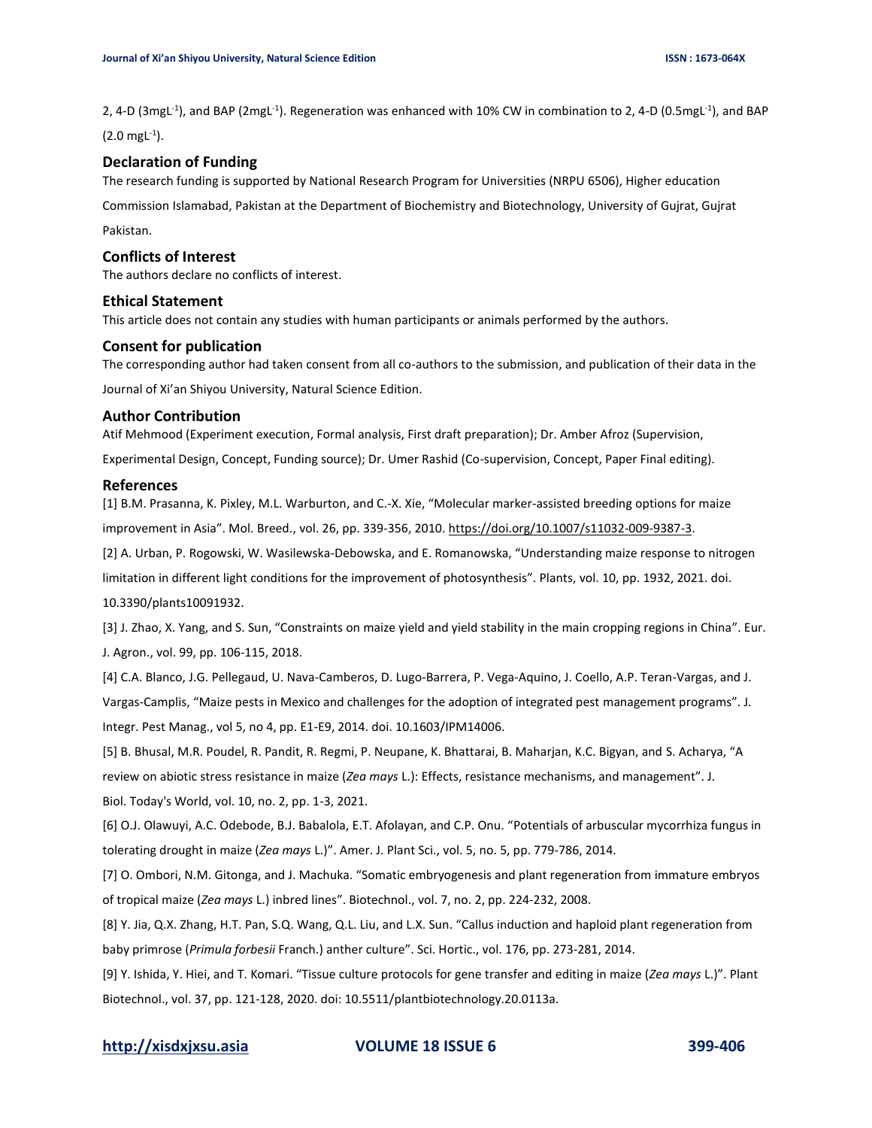2, 4-D (3mgL<sup>-1</sup>), and BAP (2mgL<sup>-1</sup>). Regeneration was enhanced with 10% CW in combination to 2, 4-D (0.5mgL<sup>-1</sup>), and BAP

 $(2.0 \text{ mgL}^{-1}).$ 

# **Declaration of Funding**

The research funding is supported by National Research Program for Universities (NRPU 6506), Higher education

Commission Islamabad, Pakistan at the Department of Biochemistry and Biotechnology, University of Gujrat, Gujrat

Pakistan.

# **Conflicts of Interest**

The authors declare no conflicts of interest.

### **Ethical Statement**

This article does not contain any studies with human participants or animals performed by the authors.

### **Consent for publication**

The corresponding author had taken consent from all co-authors to the submission, and publication of their data in the

Journal of Xi'an Shiyou University, Natural Science Edition.

### **Author Contribution**

Atif Mehmood (Experiment execution, Formal analysis, First draft preparation); Dr. Amber Afroz (Supervision,

Experimental Design, Concept, Funding source); Dr. Umer Rashid (Co-supervision, Concept, Paper Final editing).

# **References**

[1] B.M. Prasanna, K. Pixley, M.L. Warburton, and C.-X. Xie, "Molecular marker-assisted breeding options for maize improvement in Asia". Mol. Breed., vol. 26, pp. 339-356, 2010. [https://doi.org/10.1007/s11032-009-9387-3.](https://doi.org/10.1007/s11032-009-9387-3)

[2] A. Urban, P. Rogowski, W. Wasilewska-Debowska, and E. Romanowska, "Understanding maize response to nitrogen limitation in different light conditions for the improvement of photosynthesis". Plants, vol. 10, pp. 1932, 2021. doi. 10.3390/plants10091932.

[3] J. Zhao, X. Yang, and S. Sun, "Constraints on maize yield and yield stability in the main cropping regions in China". Eur. J. Agron., vol. 99, pp. 106-115, 2018.

[4] C.A. Blanco, J.G. Pellegaud, U. Nava-Camberos, D. Lugo-Barrera, P. Vega-Aquino, J. Coello, A.P. Teran-Vargas, and J. Vargas-Camplis, "Maize pests in Mexico and challenges for the adoption of integrated pest management programs". J. Integr. Pest Manag., vol 5, no 4, pp. E1-E9, 2014. doi. [10.1603/IPM14006.](https://doi.org/10.1603/IPM14006)

[5] B. Bhusal, M.R. Poudel, R. Pandit, R. Regmi, P. Neupane, K. Bhattarai, B. Maharjan, K.C. Bigyan, and S. Acharya, "A review on abiotic stress resistance in maize (*Zea mays* L.): Effects, resistance mechanisms, and management". J. Biol. Today's World, vol. 10, no. 2, pp. 1-3, 2021.

[6] O.J. Olawuyi, A.C. Odebode, B.J. Babalola, E.T. Afolayan, and C.P. Onu. "Potentials of arbuscular mycorrhiza fungus in tolerating drought in maize (*Zea mays* L.)". Amer. J. Plant Sci., vol. 5, no. 5, pp. 779-786, 2014.

[7] O. Ombori, N.M. Gitonga, and J. Machuka. "Somatic embryogenesis and plant regeneration from immature embryos of tropical maize (*Zea mays* L.) inbred lines". Biotechnol., vol. 7, no. 2, pp. 224-232, 2008.

[8] Y. Jia, Q.X. Zhang, H.T. Pan, S.Q. Wang, Q.L. Liu, and L.X. Sun. "Callus induction and haploid plant regeneration from baby primrose (*Primula forbesii* Franch.) anther culture". Sci. Hortic., vol. 176, pp. 273-281, 2014.

[9] Y. Ishida, Y. Hiei, and T. Komari. "Tissue culture protocols for gene transfer and editing in maize (*Zea mays* L.)". Plant Biotechnol., vol. 37, pp. 121-128, 2020. doi: 10.5511/plantbiotechnology.20.0113a.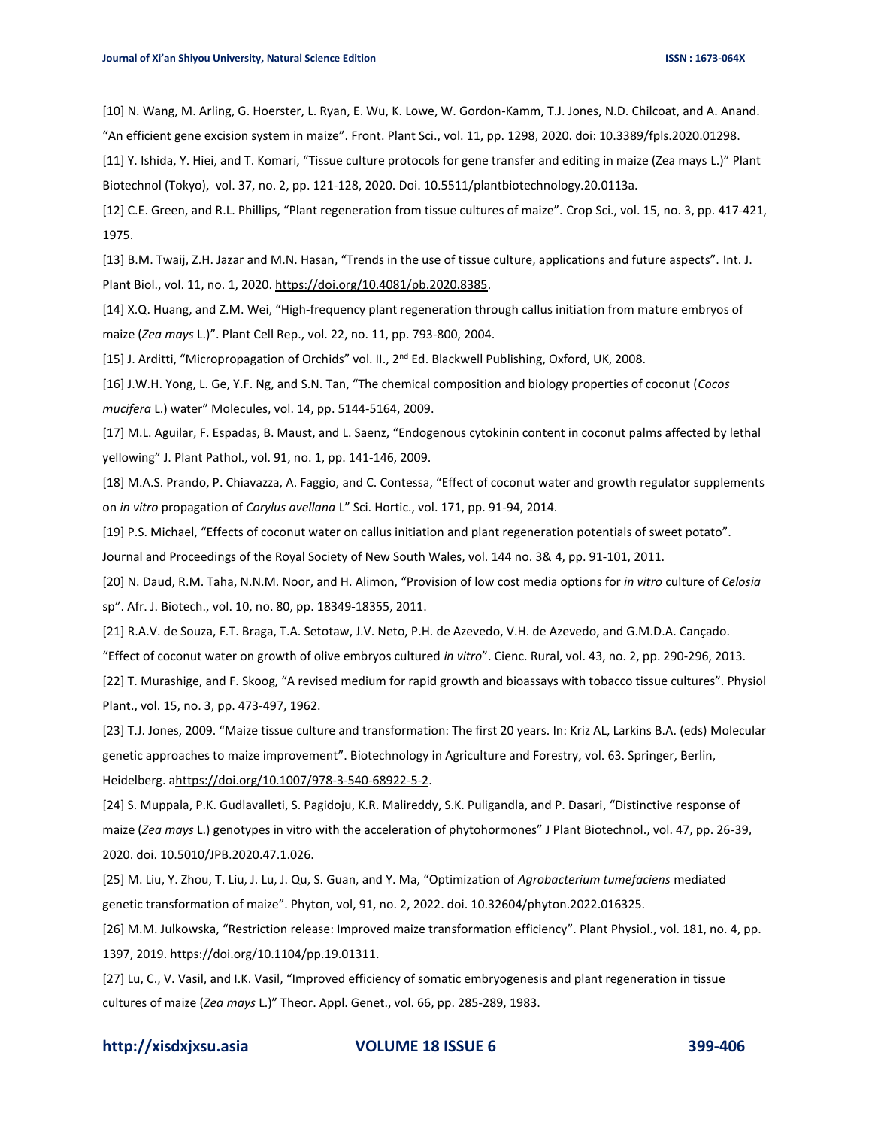[10] N. Wang, M. Arling, G. Hoerster, L. Ryan, E. Wu, K. Lowe, W. Gordon-Kamm, T.J. Jones, N.D. Chilcoat, and A. Anand. "An efficient gene excision system in maize". Front. Plant Sci., vol. 11, pp. 1298, 2020. doi: 10.3389/fpls.2020.01298.

[11] Y. Ishida, Y. Hiei, and T. Komari, "Tissue culture protocols for gene transfer and editing in maize (Zea mays L.)" Plant Biotechnol (Tokyo), vol. 37, no. 2, pp. 121-128, 2020. Doi. 10.5511/plantbiotechnology.20.0113a.

[12] C.E. Green, and R.L. Phillips, "Plant regeneration from tissue cultures of maize". Crop Sci., vol. 15, no. 3, pp. 417-421, 1975.

[13] B.M. Twaij, Z.H. Jazar and M.N. Hasan, "Trends in the use of tissue culture, applications and future aspects". Int. J. Plant Biol., vol. 11, no. 1, 2020[. https://doi.org/10.4081/pb.2020.8385.](https://doi.org/10.4081/pb.2020.8385)

[14] X.Q. Huang, and Z.M. Wei, "High-frequency plant regeneration through callus initiation from mature embryos of maize (*Zea mays* L.)". Plant Cell Rep., vol. 22, no. 11, pp. 793-800, 2004.

[15] J. Arditti, "Micropropagation of Orchids" vol. II., 2<sup>nd</sup> Ed. Blackwell Publishing, Oxford, UK, 2008.

[16] J.W.H. Yong, L. Ge, Y.F. Ng, and S.N. Tan, "The chemical composition and biology properties of coconut (*Cocos mucifera* L.) water" Molecules, vol. 14, pp. 5144-5164, 2009.

[17] M.L. Aguilar, F. Espadas, B. Maust, and L. Saenz, "Endogenous cytokinin content in coconut palms affected by lethal yellowing" J. Plant Pathol., vol. 91, no. 1, pp. 141-146, 2009.

[18] M.A.S. Prando, P. Chiavazza, A. Faggio, and C. Contessa, "Effect of coconut water and growth regulator supplements on *in vitro* propagation of *Corylus avellana* L" Sci. Hortic., vol. 171, pp. 91-94, 2014.

[19] P.S. Michael, "Effects of coconut water on callus initiation and plant regeneration potentials of sweet potato".

Journal and Proceedings of the Royal Society of New South Wales, vol. 144 no. 3& 4, pp. 91-101, 2011.

[20] N. Daud, R.M. Taha, N.N.M. Noor, and H. Alimon, "Provision of low cost media options for *in vitro* culture of *Celosia* sp". Afr. J. Biotech., vol. 10, no. 80, pp. 18349-18355, 2011.

[21] R.A.V. de Souza, F.T. Braga, T.A. Setotaw, J.V. Neto, P.H. de Azevedo, V.H. de Azevedo, and G.M.D.A. Cançado.

"Effect of coconut water on growth of olive embryos cultured *in vitro*". Cienc. Rural, vol. 43, no. 2, pp. 290-296, 2013.

[22] T. Murashige, and F. Skoog, "A revised medium for rapid growth and bioassays with tobacco tissue cultures". Physiol Plant., vol. 15, no. 3, pp. 473-497, 1962.

[23] T.J. Jones, 2009. "Maize tissue culture and transformation: The first 20 years. In: Kriz AL, Larkins B.A. (eds) Molecular genetic approaches to maize improvement". Biotechnology in Agriculture and Forestry, vol. 63. Springer, Berlin, Heidelberg. [ahttps://doi.org/10.1007/978-3-540-68922-5-2.](https://doi.org/10.1007/978-3-540-68922-5-2)

[24] S. Muppala, P.K. Gudlavalleti, S. Pagidoju, K.R. Malireddy, S.K. Puligandla, and P. Dasari, "Distinctive response of maize (*Zea mays* L.) genotypes in vitro with the acceleration of phytohormones" J Plant Biotechnol., vol. 47, pp. 26-39, 2020. doi. 10.5010/JPB.2020.47.1.026.

[25] M. Liu, Y. Zhou, T. Liu, J. Lu, J. Qu, S. Guan, and Y. Ma, "Optimization of *Agrobacterium tumefaciens* mediated genetic transformation of maize". Phyton, vol, 91, no. 2, 2022. doi. 10.32604/phyton.2022.016325.

[26] M.M. Julkowska, "Restriction release: Improved maize transformation efficiency". Plant Physiol., vol. 181, no. 4, pp. 1397, 2019[. https://doi.org/10.1104/pp.19.01311.](https://doi.org/10.1104/pp.19.01311)

[27] Lu, C., V. Vasil, and I.K. Vasil, "Improved efficiency of somatic embryogenesis and plant regeneration in tissue cultures of maize (*Zea mays* L.)" Theor. Appl. Genet., vol. 66, pp. 285-289, 1983.